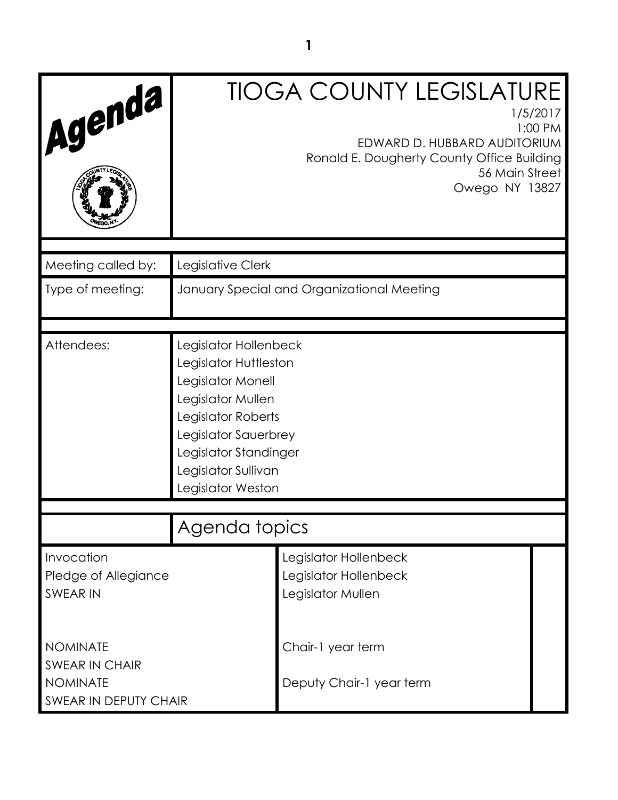| Agenda                                                                               |                                                                                                                                                                                                             | <b>TIOGA COUNTY LEGISLATURE</b><br>1/5/2017<br>1:00 PM<br>EDWARD D. HUBBARD AUDITORIUM<br>Ronald E. Dougherty County Office Building<br>56 Main Street<br>Owego NY 13827 |
|--------------------------------------------------------------------------------------|-------------------------------------------------------------------------------------------------------------------------------------------------------------------------------------------------------------|--------------------------------------------------------------------------------------------------------------------------------------------------------------------------|
| Meeting called by:                                                                   | Legislative Clerk                                                                                                                                                                                           |                                                                                                                                                                          |
| Type of meeting:                                                                     |                                                                                                                                                                                                             | January Special and Organizational Meeting                                                                                                                               |
| Attendees:                                                                           | Legislator Hollenbeck<br>Legislator Huttleston<br>Legislator Monell<br>Legislator Mullen<br>Legislator Roberts<br>Legislator Sauerbrey<br>Legislator Standinger<br>Legislator Sullivan<br>Legislator Weston |                                                                                                                                                                          |
|                                                                                      | Agenda topics                                                                                                                                                                                               |                                                                                                                                                                          |
| Invocation<br>Pledge of Allegiance<br><b>SWEAR IN</b>                                |                                                                                                                                                                                                             | Legislator Hollenbeck<br>Legislator Hollenbeck<br>Legislator Mullen                                                                                                      |
| <b>NOMINATE</b><br><b>SWEAR IN CHAIR</b><br><b>NOMINATE</b><br>SWEAR IN DEPUTY CHAIR |                                                                                                                                                                                                             | Chair-1 year term<br>Deputy Chair-1 year term                                                                                                                            |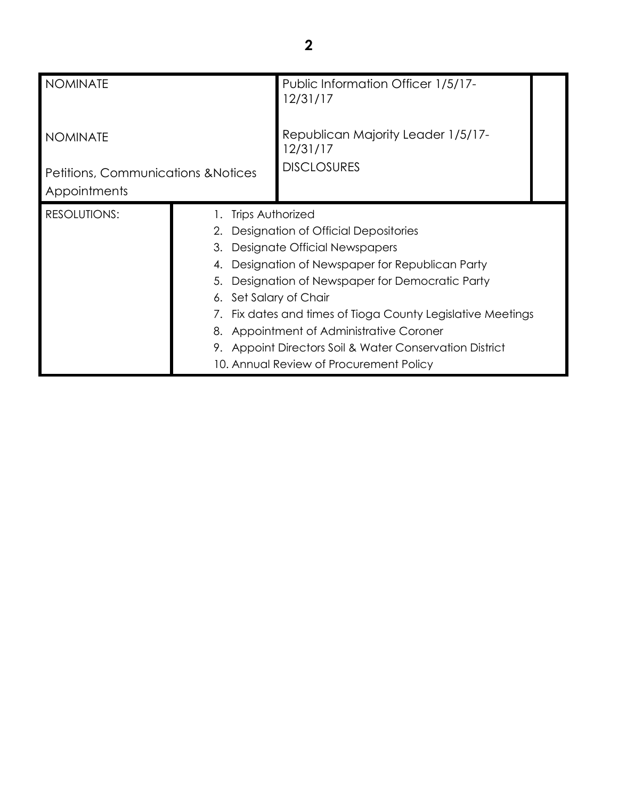| <b>NOMINATE</b>                                                                   |                                                             | Public Information Officer 1/5/17-<br>12/31/17                       |  |
|-----------------------------------------------------------------------------------|-------------------------------------------------------------|----------------------------------------------------------------------|--|
| <b>NOMINATE</b><br><b>Petitions, Communications &amp; Notices</b><br>Appointments |                                                             | Republican Majority Leader 1/5/17-<br>12/31/17<br><b>DISCLOSURES</b> |  |
|                                                                                   |                                                             |                                                                      |  |
| <b>RESOLUTIONS:</b><br><b>Trips Authorized</b>                                    |                                                             |                                                                      |  |
|                                                                                   |                                                             | 2. Designation of Official Depositories                              |  |
|                                                                                   | 3.                                                          | Designate Official Newspapers                                        |  |
|                                                                                   |                                                             | 4. Designation of Newspaper for Republican Party                     |  |
|                                                                                   | 5.                                                          | Designation of Newspaper for Democratic Party                        |  |
|                                                                                   | 6. Set Salary of Chair                                      |                                                                      |  |
|                                                                                   | 7. Fix dates and times of Tioga County Legislative Meetings |                                                                      |  |
|                                                                                   |                                                             | 8. Appointment of Administrative Coroner                             |  |
|                                                                                   |                                                             | 9. Appoint Directors Soil & Water Conservation District              |  |
|                                                                                   |                                                             | 10. Annual Review of Procurement Policy                              |  |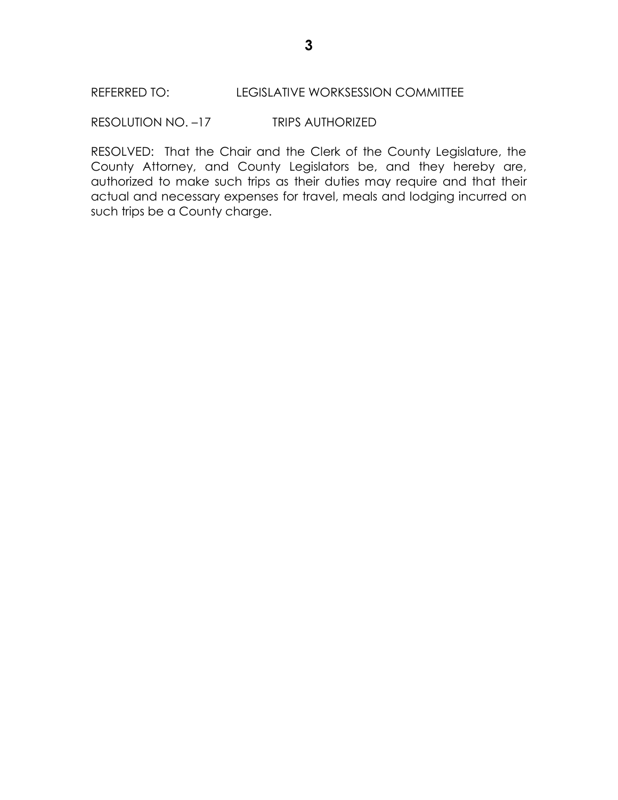RESOLUTION NO. –17 TRIPS AUTHORIZED

RESOLVED: That the Chair and the Clerk of the County Legislature, the County Attorney, and County Legislators be, and they hereby are, authorized to make such trips as their duties may require and that their actual and necessary expenses for travel, meals and lodging incurred on such trips be a County charge.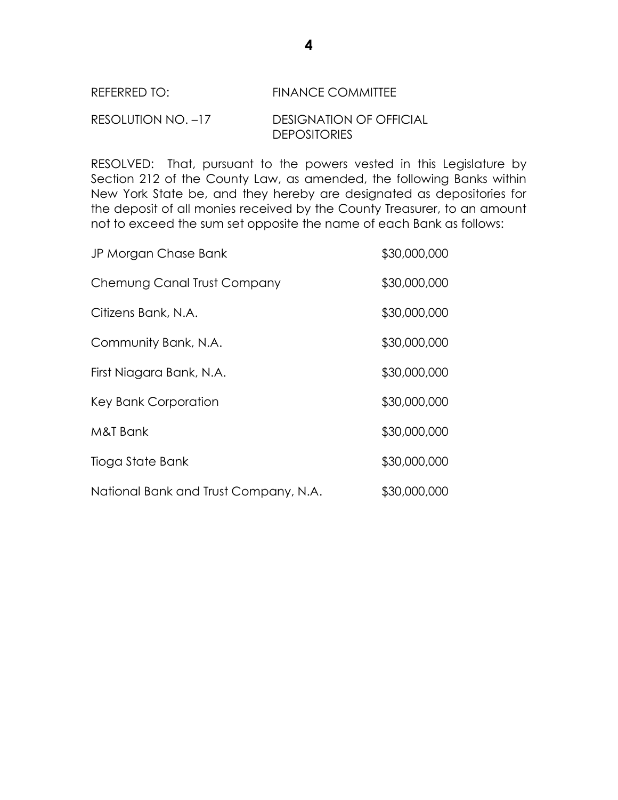# REFERRED TO: FINANCE COMMITTEE

#### RESOLUTION NO. –17 DESIGNATION OF OFFICIAL DEPOSITORIES

RESOLVED: That, pursuant to the powers vested in this Legislature by Section 212 of the County Law, as amended, the following Banks within New York State be, and they hereby are designated as depositories for the deposit of all monies received by the County Treasurer, to an amount not to exceed the sum set opposite the name of each Bank as follows:

| JP Morgan Chase Bank                  | \$30,000,000 |
|---------------------------------------|--------------|
| Chemung Canal Trust Company           | \$30,000,000 |
| Citizens Bank, N.A.                   | \$30,000,000 |
| Community Bank, N.A.                  | \$30,000,000 |
| First Niagara Bank, N.A.              | \$30,000,000 |
| Key Bank Corporation                  | \$30,000,000 |
| M&T Bank                              | \$30,000,000 |
| Tioga State Bank                      | \$30,000,000 |
| National Bank and Trust Company, N.A. | \$30,000,000 |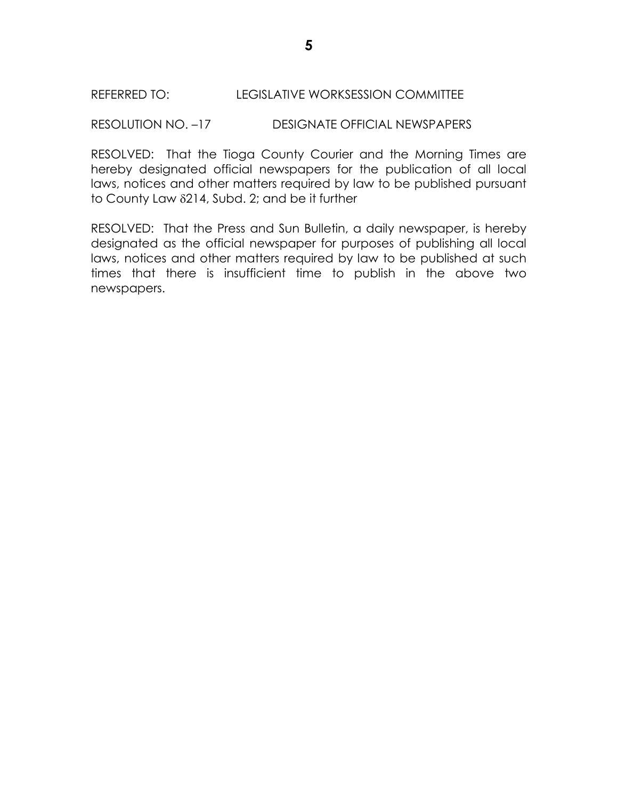### REFERRED TO: LEGISLATIVE WORKSESSION COMMITTEE

#### RESOLUTION NO. –17 DESIGNATE OFFICIAL NEWSPAPERS

RESOLVED: That the Tioga County Courier and the Morning Times are hereby designated official newspapers for the publication of all local laws, notices and other matters required by law to be published pursuant to County Law  $\delta$ 214, Subd. 2; and be it further

RESOLVED: That the Press and Sun Bulletin, a daily newspaper, is hereby designated as the official newspaper for purposes of publishing all local laws, notices and other matters required by law to be published at such times that there is insufficient time to publish in the above two newspapers.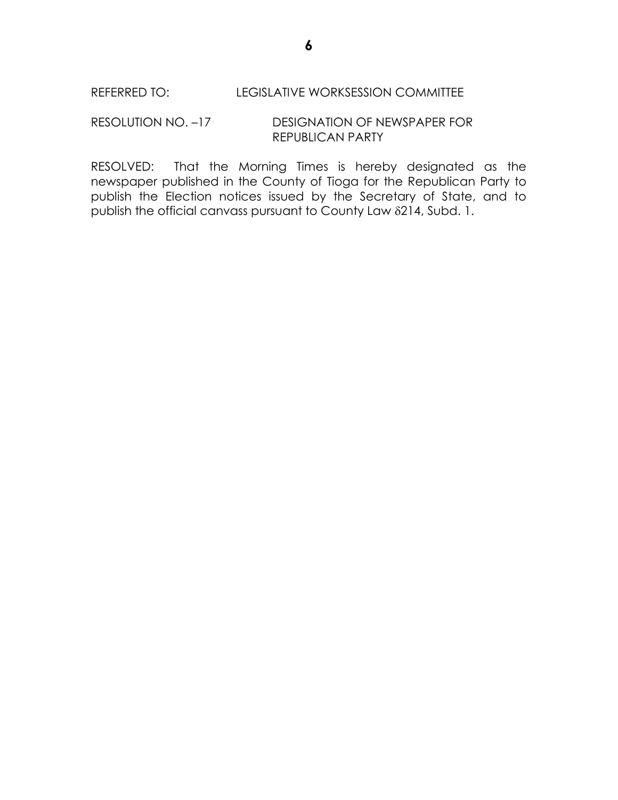### RESOLUTION NO. –17 DESIGNATION OF NEWSPAPER FOR REPUBLICAN PARTY

RESOLVED: That the Morning Times is hereby designated as the newspaper published in the County of Tioga for the Republican Party to publish the Election notices issued by the Secretary of State, and to publish the official canvass pursuant to County Law 214, Subd. 1.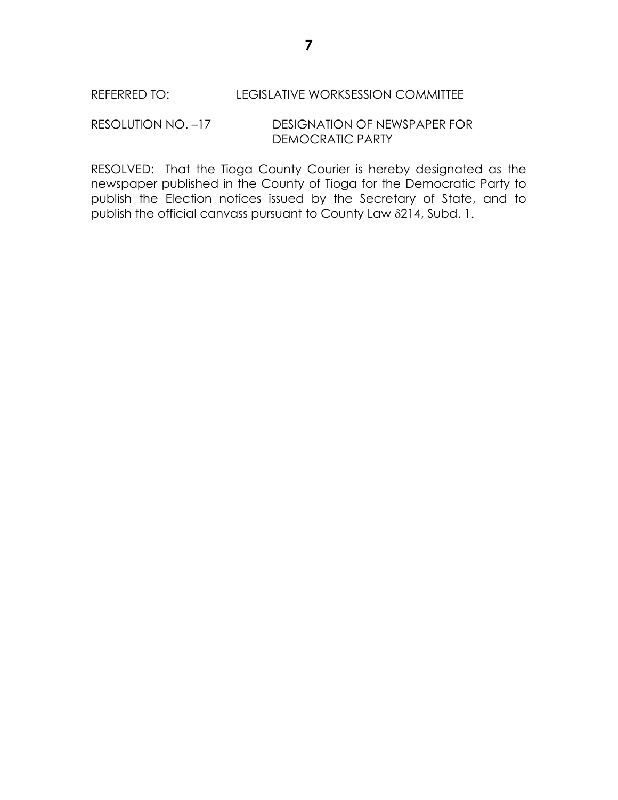RESOLUTION NO. –17 DESIGNATION OF NEWSPAPER FOR DEMOCRATIC PARTY

RESOLVED: That the Tioga County Courier is hereby designated as the newspaper published in the County of Tioga for the Democratic Party to publish the Election notices issued by the Secretary of State, and to publish the official canvass pursuant to County Law 214, Subd. 1.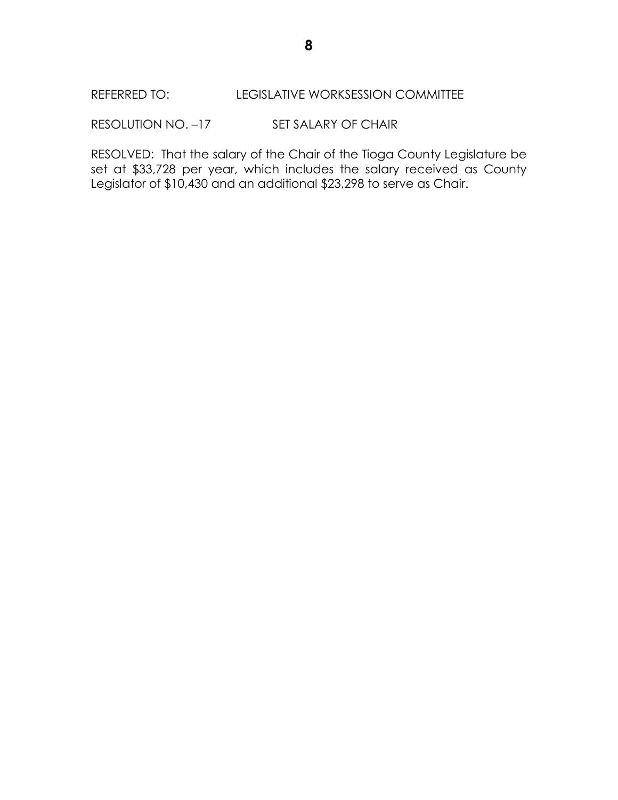### REFERRED TO: LEGISLATIVE WORKSESSION COMMITTEE

RESOLUTION NO. -17 SET SALARY OF CHAIR

RESOLVED: That the salary of the Chair of the Tioga County Legislature be set at \$33,728 per year, which includes the salary received as County Legislator of \$10,430 and an additional \$23,298 to serve as Chair.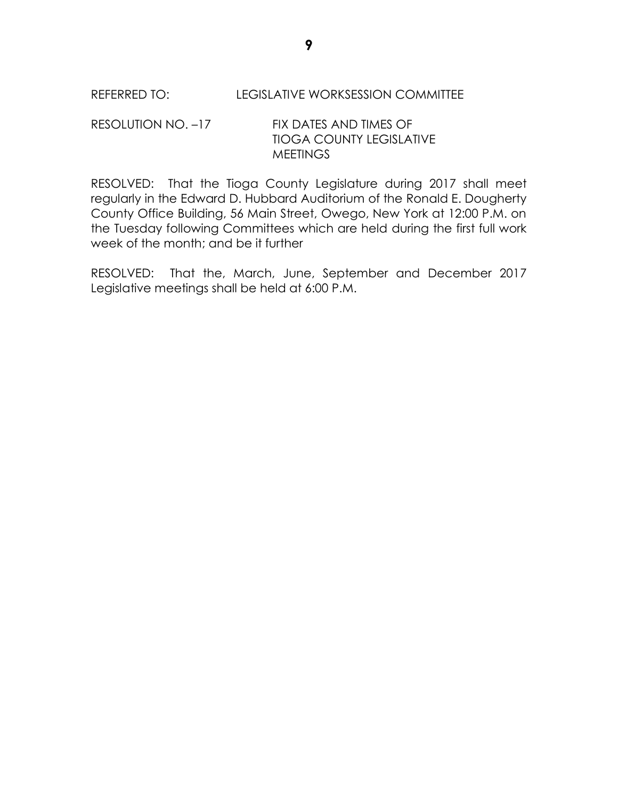REFERRED TO: LEGISLATIVE WORKSESSION COMMITTEE

## RESOLUTION NO. -17 FIX DATES AND TIMES OF TIOGA COUNTY LEGISLATIVE **MEETINGS**

RESOLVED: That the Tioga County Legislature during 2017 shall meet regularly in the Edward D. Hubbard Auditorium of the Ronald E. Dougherty County Office Building, 56 Main Street, Owego, New York at 12:00 P.M. on the Tuesday following Committees which are held during the first full work week of the month; and be it further

RESOLVED: That the, March, June, September and December 2017 Legislative meetings shall be held at 6:00 P.M.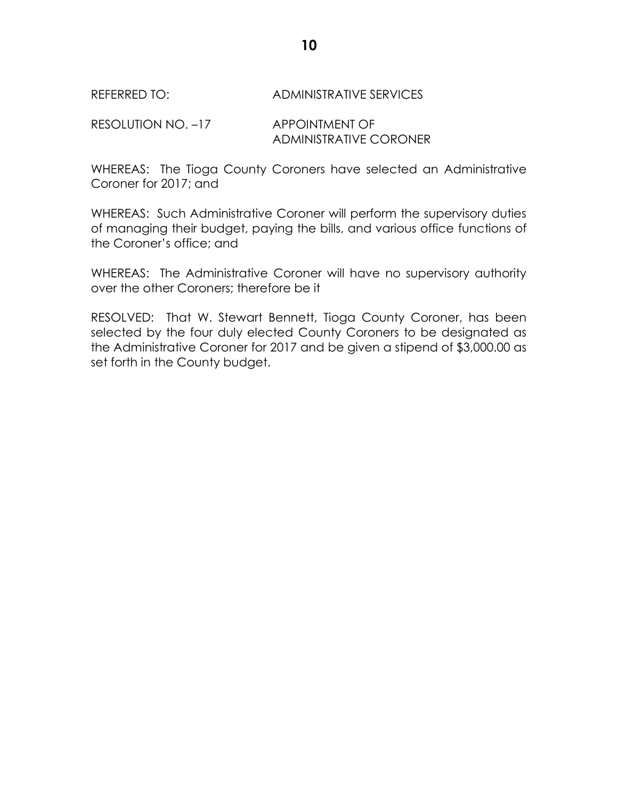### REFERRED TO: ADMINISTRATIVE SERVICES

RESOLUTION NO. -17 APPOINTMENT OF ADMINISTRATIVE CORONER

WHEREAS: The Tioga County Coroners have selected an Administrative Coroner for 2017; and

WHEREAS: Such Administrative Coroner will perform the supervisory duties of managing their budget, paying the bills, and various office functions of the Coroner's office; and

WHEREAS: The Administrative Coroner will have no supervisory authority over the other Coroners; therefore be it

RESOLVED: That W. Stewart Bennett, Tioga County Coroner, has been selected by the four duly elected County Coroners to be designated as the Administrative Coroner for 2017 and be given a stipend of \$3,000.00 as set forth in the County budget.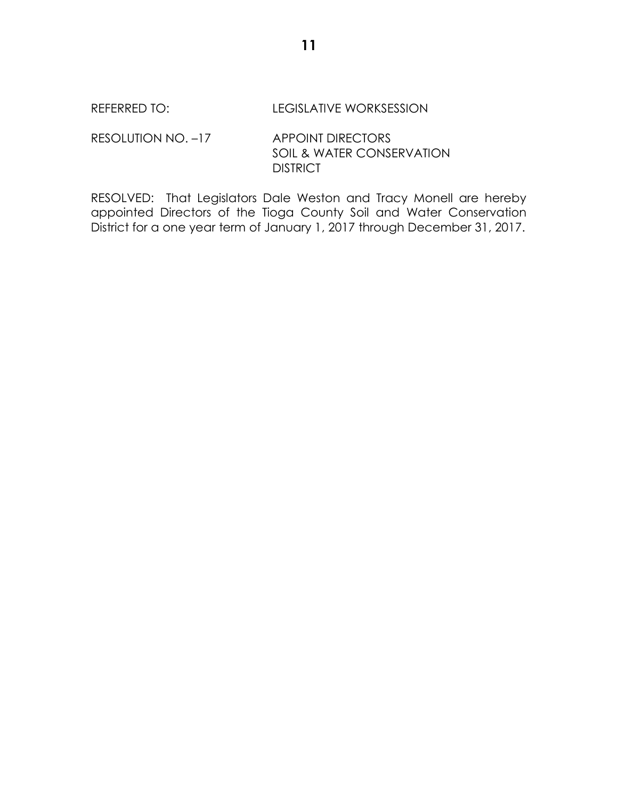### REFERRED TO: LEGISLATIVE WORKSESSION

RESOLUTION NO. -17 APPOINT DIRECTORS SOIL & WATER CONSERVATION **DISTRICT** 

RESOLVED: That Legislators Dale Weston and Tracy Monell are hereby appointed Directors of the Tioga County Soil and Water Conservation District for a one year term of January 1, 2017 through December 31, 2017.